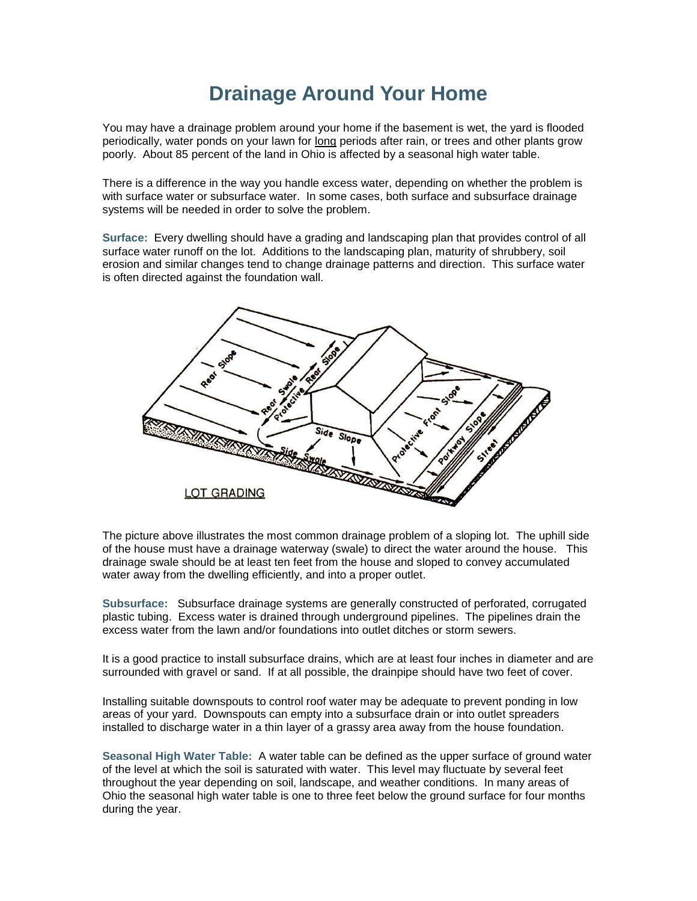## **Drainage Around Your Home**

You may have a drainage problem around your home if the basement is wet, the yard is flooded periodically, water ponds on your lawn for long periods after rain, or trees and other plants grow poorly. About 85 percent of the land in Ohio is affected by a seasonal high water table.

There is a difference in the way you handle excess water, depending on whether the problem is with surface water or subsurface water. In some cases, both surface and subsurface drainage systems will be needed in order to solve the problem.

**Surface:** Every dwelling should have a grading and landscaping plan that provides control of all surface water runoff on the lot. Additions to the landscaping plan, maturity of shrubbery, soil erosion and similar changes tend to change drainage patterns and direction. This surface water is often directed against the foundation wall.



The picture above illustrates the most common drainage problem of a sloping lot. The uphill side of the house must have a drainage waterway (swale) to direct the water around the house. This drainage swale should be at least ten feet from the house and sloped to convey accumulated water away from the dwelling efficiently, and into a proper outlet.

**Subsurface:** Subsurface drainage systems are generally constructed of perforated, corrugated plastic tubing. Excess water is drained through underground pipelines. The pipelines drain the excess water from the lawn and/or foundations into outlet ditches or storm sewers.

It is a good practice to install subsurface drains, which are at least four inches in diameter and are surrounded with gravel or sand. If at all possible, the drainpipe should have two feet of cover.

Installing suitable downspouts to control roof water may be adequate to prevent ponding in low areas of your yard. Downspouts can empty into a subsurface drain or into outlet spreaders installed to discharge water in a thin layer of a grassy area away from the house foundation.

**Seasonal High Water Table:** A water table can be defined as the upper surface of ground water of the level at which the soil is saturated with water. This level may fluctuate by several feet throughout the year depending on soil, landscape, and weather conditions. In many areas of Ohio the seasonal high water table is one to three feet below the ground surface for four months during the year.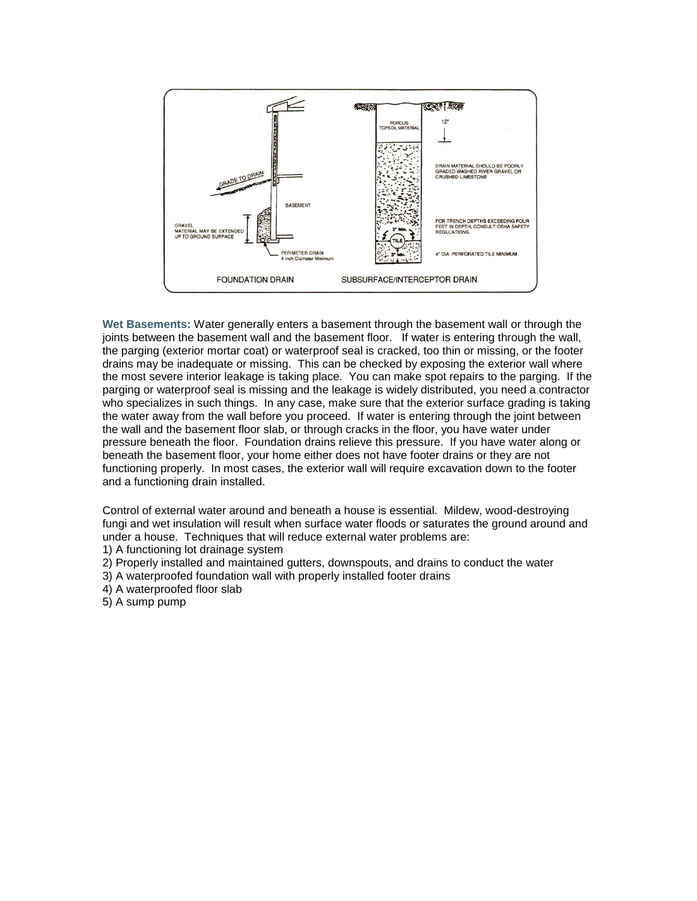

**Wet Basements:** Water generally enters a basement through the basement wall or through the joints between the basement wall and the basement floor. If water is entering through the wall, the parging (exterior mortar coat) or waterproof seal is cracked, too thin or missing, or the footer drains may be inadequate or missing. This can be checked by exposing the exterior wall where the most severe interior leakage is taking place. You can make spot repairs to the parging. If the parging or waterproof seal is missing and the leakage is widely distributed, you need a contractor who specializes in such things. In any case, make sure that the exterior surface grading is taking the water away from the wall before you proceed. If water is entering through the joint between the wall and the basement floor slab, or through cracks in the floor, you have water under pressure beneath the floor. Foundation drains relieve this pressure. If you have water along or beneath the basement floor, your home either does not have footer drains or they are not functioning properly. In most cases, the exterior wall will require excavation down to the footer and a functioning drain installed.

Control of external water around and beneath a house is essential. Mildew, wood-destroying fungi and wet insulation will result when surface water floods or saturates the ground around and under a house. Techniques that will reduce external water problems are:

1) A functioning lot drainage system

- 2) Properly installed and maintained gutters, downspouts, and drains to conduct the water
- 3) A waterproofed foundation wall with properly installed footer drains
- 4) A waterproofed floor slab
- 5) A sump pump